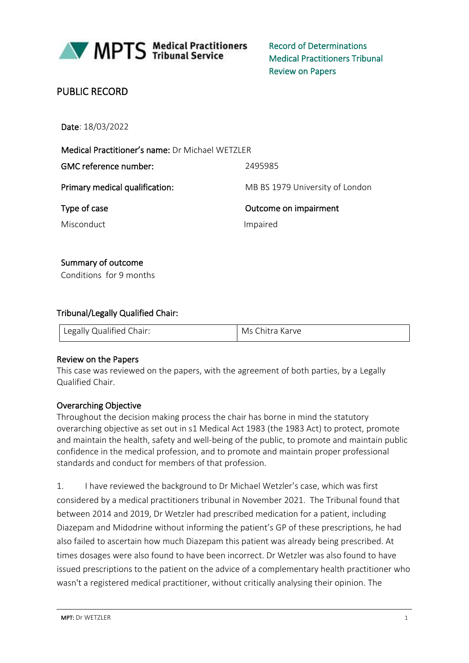

MPTS Medical Practitioners

Record of Determinations Medical Practitioners Tribunal Review on Papers

# PUBLIC RECORD

Date: 18/03/2022

| Medical Practitioner's name: Dr Michael WETZLER |                                 |
|-------------------------------------------------|---------------------------------|
| GMC reference number:                           | 2495985                         |
| Primary medical qualification:                  | MB BS 1979 University of London |
| Type of case                                    | Outcome on impairment           |
| <b>Misconduct</b>                               | Impaired                        |

### Summary of outcome

Conditions for 9 months

### Tribunal/Legally Qualified Chair:

| Legally Qualified Chair: | Ms Chitra Karve |
|--------------------------|-----------------|
|                          |                 |

### Review on the Papers

This case was reviewed on the papers, with the agreement of both parties, by a Legally Qualified Chair.

### Overarching Objective

Throughout the decision making process the chair has borne in mind the statutory overarching objective as set out in s1 Medical Act 1983 (the 1983 Act) to protect, promote and maintain the health, safety and well-being of the public, to promote and maintain public confidence in the medical profession, and to promote and maintain proper professional standards and conduct for members of that profession.

1. I have reviewed the background to Dr Michael Wetzler's case, which was first considered by a medical practitioners tribunal in November 2021. The Tribunal found that between 2014 and 2019, Dr Wetzler had prescribed medication for a patient, including Diazepam and Midodrine without informing the patient's GP of these prescriptions, he had also failed to ascertain how much Diazepam this patient was already being prescribed. At times dosages were also found to have been incorrect. Dr Wetzler was also found to have issued prescriptions to the patient on the advice of a complementary health practitioner who wasn't a registered medical practitioner, without critically analysing their opinion. The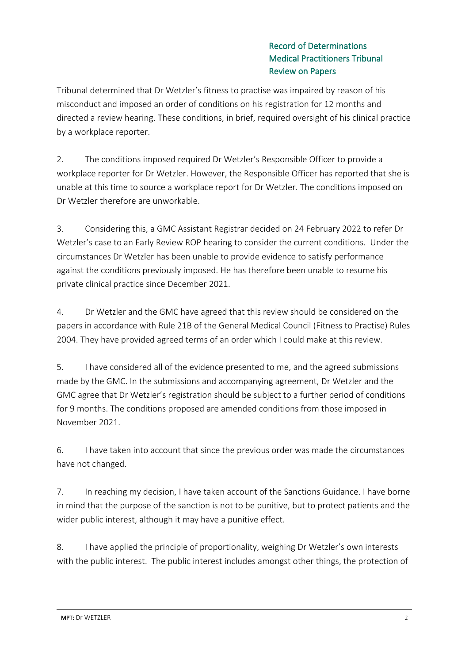Tribunal determined that Dr Wetzler's fitness to practise was impaired by reason of his misconduct and imposed an order of conditions on his registration for 12 months and directed a review hearing. These conditions, in brief, required oversight of his clinical practice by a workplace reporter.

2. The conditions imposed required Dr Wetzler's Responsible Officer to provide a workplace reporter for Dr Wetzler. However, the Responsible Officer has reported that she is unable at this time to source a workplace report for Dr Wetzler. The conditions imposed on Dr Wetzler therefore are unworkable.

3. Considering this, a GMC Assistant Registrar decided on 24 February 2022 to refer Dr Wetzler's case to an Early Review ROP hearing to consider the current conditions. Under the circumstances Dr Wetzler has been unable to provide evidence to satisfy performance against the conditions previously imposed. He has therefore been unable to resume his private clinical practice since December 2021.

4. Dr Wetzler and the GMC have agreed that this review should be considered on the papers in accordance with Rule 21B of the General Medical Council (Fitness to Practise) Rules 2004. They have provided agreed terms of an order which I could make at this review.

5. I have considered all of the evidence presented to me, and the agreed submissions made by the GMC. In the submissions and accompanying agreement, Dr Wetzler and the GMC agree that Dr Wetzler's registration should be subject to a further period of conditions for 9 months. The conditions proposed are amended conditions from those imposed in November 2021.

6. I have taken into account that since the previous order was made the circumstances have not changed.

7. In reaching my decision, I have taken account of the Sanctions Guidance. I have borne in mind that the purpose of the sanction is not to be punitive, but to protect patients and the wider public interest, although it may have a punitive effect.

8. I have applied the principle of proportionality, weighing Dr Wetzler's own interests with the public interest. The public interest includes amongst other things, the protection of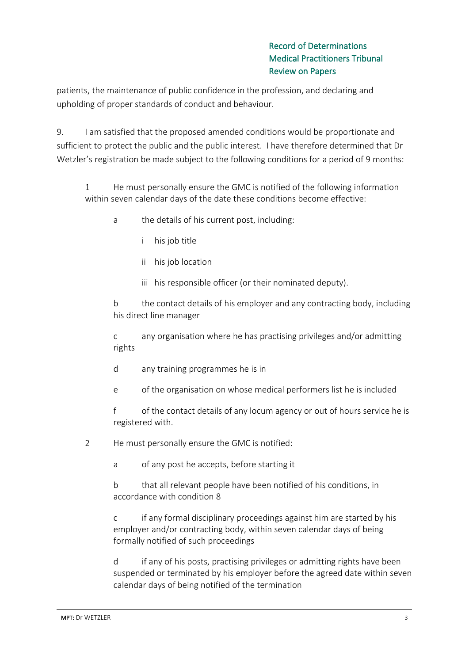patients, the maintenance of public confidence in the profession, and declaring and upholding of proper standards of conduct and behaviour.

9. I am satisfied that the proposed amended conditions would be proportionate and sufficient to protect the public and the public interest. I have therefore determined that Dr Wetzler's registration be made subject to the following conditions for a period of 9 months:

1 He must personally ensure the GMC is notified of the following information within seven calendar days of the date these conditions become effective:

- a the details of his current post, including:
	- i his job title
	- ii his job location
	- iii his responsible officer (or their nominated deputy).

b the contact details of his employer and any contracting body, including his direct line manager

c any organisation where he has practising privileges and/or admitting rights

- d any training programmes he is in
- e of the organisation on whose medical performers list he is included

f of the contact details of any locum agency or out of hours service he is registered with.

2 He must personally ensure the GMC is notified:

a of any post he accepts, before starting it

b that all relevant people have been notified of his conditions, in accordance with condition 8

c if any formal disciplinary proceedings against him are started by his employer and/or contracting body, within seven calendar days of being formally notified of such proceedings

d if any of his posts, practising privileges or admitting rights have been suspended or terminated by his employer before the agreed date within seven calendar days of being notified of the termination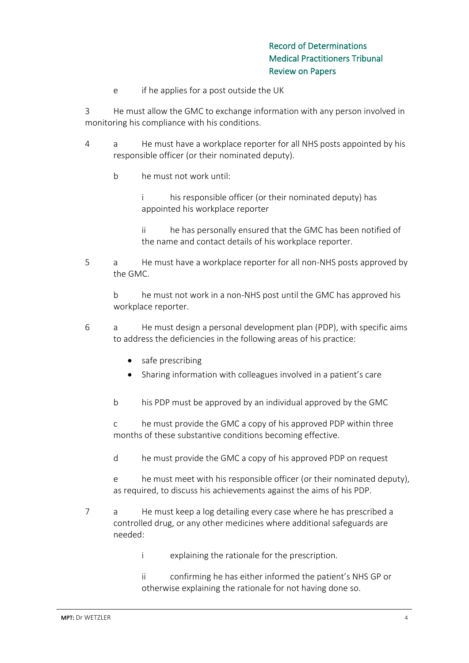e if he applies for a post outside the UK

3 He must allow the GMC to exchange information with any person involved in monitoring his compliance with his conditions.

- 4 a He must have a workplace reporter for all NHS posts appointed by his responsible officer (or their nominated deputy).
	- b he must not work until:

i his responsible officer (or their nominated deputy) has appointed his workplace reporter

ii he has personally ensured that the GMC has been notified of the name and contact details of his workplace reporter.

5 a He must have a workplace reporter for all non-NHS posts approved by the GMC.

b he must not work in a non-NHS post until the GMC has approved his workplace reporter.

- 6 a He must design a personal development plan (PDP), with specific aims to address the deficiencies in the following areas of his practice:
	- safe prescribing
	- Sharing information with colleagues involved in a patient's care
	- b his PDP must be approved by an individual approved by the GMC

c he must provide the GMC a copy of his approved PDP within three months of these substantive conditions becoming effective.

d he must provide the GMC a copy of his approved PDP on request

e he must meet with his responsible officer (or their nominated deputy), as required, to discuss his achievements against the aims of his PDP.

- 7 a He must keep a log detailing every case where he has prescribed a controlled drug, or any other medicines where additional safeguards are needed:
	- i explaining the rationale for the prescription.

ii confirming he has either informed the patient's NHS GP or otherwise explaining the rationale for not having done so.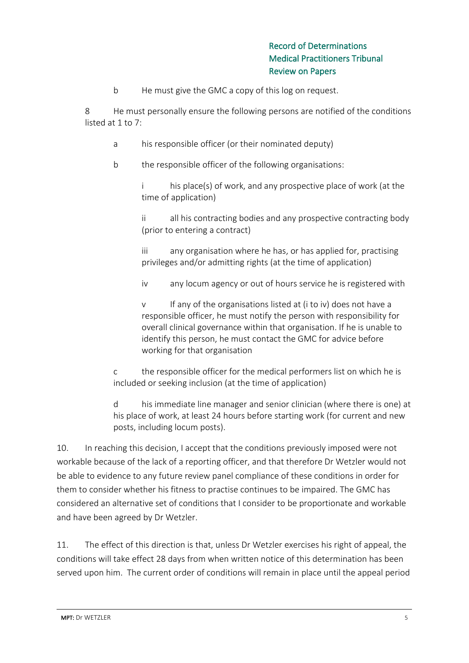b He must give the GMC a copy of this log on request.

8 He must personally ensure the following persons are notified of the conditions listed at 1 to 7:

- a his responsible officer (or their nominated deputy)
- b the responsible officer of the following organisations:

i his place(s) of work, and any prospective place of work (at the time of application)

ii all his contracting bodies and any prospective contracting body (prior to entering a contract)

iii any organisation where he has, or has applied for, practising privileges and/or admitting rights (at the time of application)

iv any locum agency or out of hours service he is registered with

v If any of the organisations listed at (i to iv) does not have a responsible officer, he must notify the person with responsibility for overall clinical governance within that organisation. If he is unable to identify this person, he must contact the GMC for advice before working for that organisation

c the responsible officer for the medical performers list on which he is included or seeking inclusion (at the time of application)

d his immediate line manager and senior clinician (where there is one) at his place of work, at least 24 hours before starting work (for current and new posts, including locum posts).

10. In reaching this decision, I accept that the conditions previously imposed were not workable because of the lack of a reporting officer, and that therefore Dr Wetzler would not be able to evidence to any future review panel compliance of these conditions in order for them to consider whether his fitness to practise continues to be impaired. The GMC has considered an alternative set of conditions that I consider to be proportionate and workable and have been agreed by Dr Wetzler.

11. The effect of this direction is that, unless Dr Wetzler exercises his right of appeal, the conditions will take effect 28 days from when written notice of this determination has been served upon him. The current order of conditions will remain in place until the appeal period